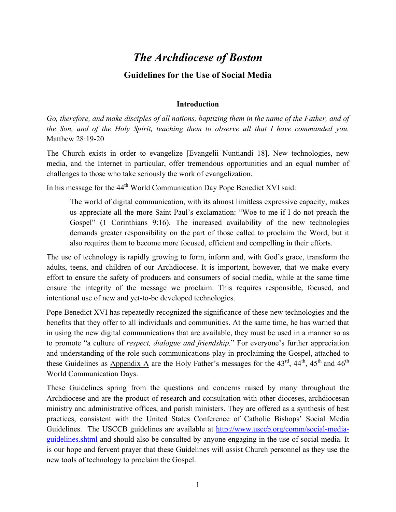# *The Archdiocese of Boston*

# **Guidelines for the Use of Social Media**

## **Introduction**

*Go, therefore, and make disciples of all nations, baptizing them in the name of the Father, and of the Son, and of the Holy Spirit, teaching them to observe all that I have commanded you.*  Matthew 28:19-20

The Church exists in order to evangelize [Evangelii Nuntiandi 18]. New technologies, new media, and the Internet in particular, offer tremendous opportunities and an equal number of challenges to those who take seriously the work of evangelization.

In his message for the 44<sup>th</sup> World Communication Day Pope Benedict XVI said:

The world of digital communication, with its almost limitless expressive capacity, makes us appreciate all the more Saint Paul's exclamation: "Woe to me if I do not preach the Gospel" (1 Corinthians 9:16). The increased availability of the new technologies demands greater responsibility on the part of those called to proclaim the Word, but it also requires them to become more focused, efficient and compelling in their efforts.

The use of technology is rapidly growing to form, inform and, with God's grace, transform the adults, teens, and children of our Archdiocese. It is important, however, that we make every effort to ensure the safety of producers and consumers of social media, while at the same time ensure the integrity of the message we proclaim. This requires responsible, focused, and intentional use of new and yet-to-be developed technologies.

Pope Benedict XVI has repeatedly recognized the significance of these new technologies and the benefits that they offer to all individuals and communities. At the same time, he has warned that in using the new digital communications that are available, they must be used in a manner so as to promote "a culture of *respect, dialogue and friendship.*" For everyone's further appreciation and understanding of the role such communications play in proclaiming the Gospel, attached to these Guidelines as Appendix A are the Holy Father's messages for the  $43^{\text{rd}}$ ,  $44^{\text{th}}$ ,  $45^{\text{th}}$  and  $46^{\text{th}}$ World Communication Days.

These Guidelines spring from the questions and concerns raised by many throughout the Archdiocese and are the product of research and consultation with other dioceses, archdiocesan ministry and administrative offices, and parish ministers. They are offered as a synthesis of best practices, consistent with the United States Conference of Catholic Bishops' Social Media Guidelines. The USCCB guidelines are available at http://www.usccb.org/comm/social-mediaguidelines.shtml and should also be consulted by anyone engaging in the use of social media. It is our hope and fervent prayer that these Guidelines will assist Church personnel as they use the new tools of technology to proclaim the Gospel.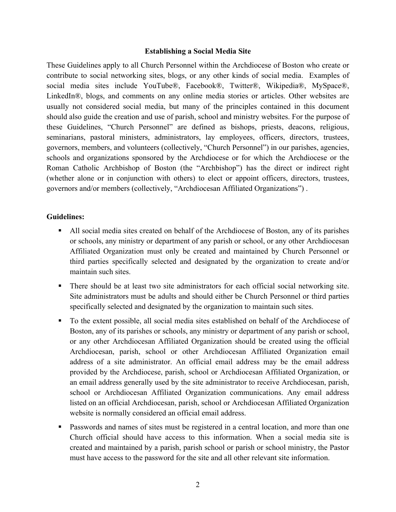#### **Establishing a Social Media Site**

These Guidelines apply to all Church Personnel within the Archdiocese of Boston who create or contribute to social networking sites, blogs, or any other kinds of social media. Examples of social media sites include YouTube®, Facebook®, Twitter®, Wikipedia®, MySpace®, LinkedIn®, blogs, and comments on any online media stories or articles. Other websites are usually not considered social media, but many of the principles contained in this document should also guide the creation and use of parish, school and ministry websites. For the purpose of these Guidelines, "Church Personnel" are defined as bishops, priests, deacons, religious, seminarians, pastoral ministers, administrators, lay employees, officers, directors, trustees, governors, members, and volunteers (collectively, "Church Personnel") in our parishes, agencies, schools and organizations sponsored by the Archdiocese or for which the Archdiocese or the Roman Catholic Archbishop of Boston (the "Archbishop") has the direct or indirect right (whether alone or in conjunction with others) to elect or appoint officers, directors, trustees, governors and/or members (collectively, "Archdiocesan Affiliated Organizations") .

#### **Guidelines:**

- All social media sites created on behalf of the Archdiocese of Boston, any of its parishes or schools, any ministry or department of any parish or school, or any other Archdiocesan Affiliated Organization must only be created and maintained by Church Personnel or third parties specifically selected and designated by the organization to create and/or maintain such sites.
- § There should be at least two site administrators for each official social networking site. Site administrators must be adults and should either be Church Personnel or third parties specifically selected and designated by the organization to maintain such sites.
- § To the extent possible, all social media sites established on behalf of the Archdiocese of Boston, any of its parishes or schools, any ministry or department of any parish or school, or any other Archdiocesan Affiliated Organization should be created using the official Archdiocesan, parish, school or other Archdiocesan Affiliated Organization email address of a site administrator. An official email address may be the email address provided by the Archdiocese, parish, school or Archdiocesan Affiliated Organization, or an email address generally used by the site administrator to receive Archdiocesan, parish, school or Archdiocesan Affiliated Organization communications. Any email address listed on an official Archdiocesan, parish, school or Archdiocesan Affiliated Organization website is normally considered an official email address.
- Passwords and names of sites must be registered in a central location, and more than one Church official should have access to this information. When a social media site is created and maintained by a parish, parish school or parish or school ministry, the Pastor must have access to the password for the site and all other relevant site information.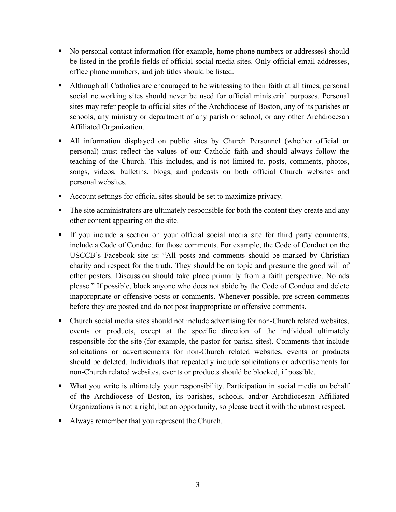- No personal contact information (for example, home phone numbers or addresses) should be listed in the profile fields of official social media sites. Only official email addresses, office phone numbers, and job titles should be listed.
- Although all Catholics are encouraged to be witnessing to their faith at all times, personal social networking sites should never be used for official ministerial purposes. Personal sites may refer people to official sites of the Archdiocese of Boston, any of its parishes or schools, any ministry or department of any parish or school, or any other Archdiocesan Affiliated Organization.
- All information displayed on public sites by Church Personnel (whether official or personal) must reflect the values of our Catholic faith and should always follow the teaching of the Church. This includes, and is not limited to, posts, comments, photos, songs, videos, bulletins, blogs, and podcasts on both official Church websites and personal websites.
- Account settings for official sites should be set to maximize privacy.
- The site administrators are ultimately responsible for both the content they create and any other content appearing on the site.
- § If you include a section on your official social media site for third party comments, include a Code of Conduct for those comments. For example, the Code of Conduct on the USCCB's Facebook site is: "All posts and comments should be marked by Christian charity and respect for the truth. They should be on topic and presume the good will of other posters. Discussion should take place primarily from a faith perspective. No ads please." If possible, block anyone who does not abide by the Code of Conduct and delete inappropriate or offensive posts or comments. Whenever possible, pre-screen comments before they are posted and do not post inappropriate or offensive comments.
- Church social media sites should not include advertising for non-Church related websites, events or products, except at the specific direction of the individual ultimately responsible for the site (for example, the pastor for parish sites). Comments that include solicitations or advertisements for non-Church related websites, events or products should be deleted. Individuals that repeatedly include solicitations or advertisements for non-Church related websites, events or products should be blocked, if possible.
- What you write is ultimately your responsibility. Participation in social media on behalf of the Archdiocese of Boston, its parishes, schools, and/or Archdiocesan Affiliated Organizations is not a right, but an opportunity, so please treat it with the utmost respect.
- Always remember that you represent the Church.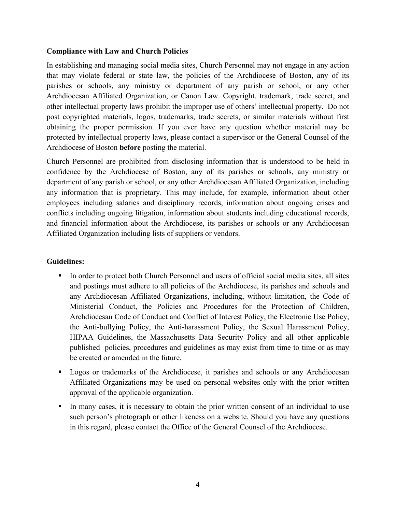### **Compliance with Law and Church Policies**

In establishing and managing social media sites, Church Personnel may not engage in any action that may violate federal or state law, the policies of the Archdiocese of Boston, any of its parishes or schools, any ministry or department of any parish or school, or any other Archdiocesan Affiliated Organization, or Canon Law. Copyright, trademark, trade secret, and other intellectual property laws prohibit the improper use of others' intellectual property. Do not post copyrighted materials, logos, trademarks, trade secrets, or similar materials without first obtaining the proper permission. If you ever have any question whether material may be protected by intellectual property laws, please contact a supervisor or the General Counsel of the Archdiocese of Boston **before** posting the material.

Church Personnel are prohibited from disclosing information that is understood to be held in confidence by the Archdiocese of Boston, any of its parishes or schools, any ministry or department of any parish or school, or any other Archdiocesan Affiliated Organization, including any information that is proprietary. This may include, for example, information about other employees including salaries and disciplinary records, information about ongoing crises and conflicts including ongoing litigation, information about students including educational records, and financial information about the Archdiocese, its parishes or schools or any Archdiocesan Affiliated Organization including lists of suppliers or vendors.

## **Guidelines:**

- In order to protect both Church Personnel and users of official social media sites, all sites and postings must adhere to all policies of the Archdiocese, its parishes and schools and any Archdiocesan Affiliated Organizations, including, without limitation, the Code of Ministerial Conduct, the Policies and Procedures for the Protection of Children, Archdiocesan Code of Conduct and Conflict of Interest Policy, the Electronic Use Policy, the Anti-bullying Policy, the Anti-harassment Policy, the Sexual Harassment Policy, HIPAA Guidelines, the Massachusetts Data Security Policy and all other applicable published policies, procedures and guidelines as may exist from time to time or as may be created or amended in the future.
- Logos or trademarks of the Archdiocese, it parishes and schools or any Archdiocesan Affiliated Organizations may be used on personal websites only with the prior written approval of the applicable organization.
- In many cases, it is necessary to obtain the prior written consent of an individual to use such person's photograph or other likeness on a website. Should you have any questions in this regard, please contact the Office of the General Counsel of the Archdiocese.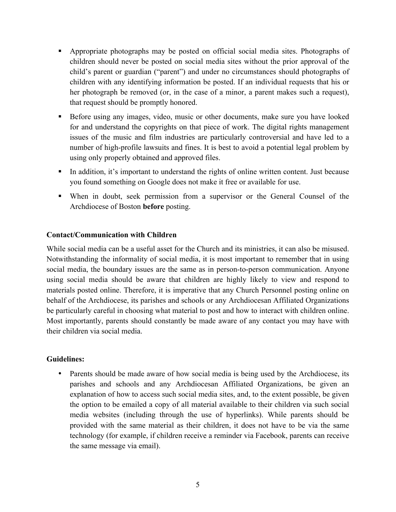- § Appropriate photographs may be posted on official social media sites. Photographs of children should never be posted on social media sites without the prior approval of the child's parent or guardian ("parent") and under no circumstances should photographs of children with any identifying information be posted. If an individual requests that his or her photograph be removed (or, in the case of a minor, a parent makes such a request), that request should be promptly honored.
- Before using any images, video, music or other documents, make sure you have looked for and understand the copyrights on that piece of work. The digital rights management issues of the music and film industries are particularly controversial and have led to a number of high-profile lawsuits and fines. It is best to avoid a potential legal problem by using only properly obtained and approved files.
- In addition, it's important to understand the rights of online written content. Just because you found something on Google does not make it free or available for use.
- § When in doubt, seek permission from a supervisor or the General Counsel of the Archdiocese of Boston **before** posting.

## **Contact/Communication with Children**

While social media can be a useful asset for the Church and its ministries, it can also be misused. Notwithstanding the informality of social media, it is most important to remember that in using social media, the boundary issues are the same as in person-to-person communication. Anyone using social media should be aware that children are highly likely to view and respond to materials posted online. Therefore, it is imperative that any Church Personnel posting online on behalf of the Archdiocese, its parishes and schools or any Archdiocesan Affiliated Organizations be particularly careful in choosing what material to post and how to interact with children online. Most importantly, parents should constantly be made aware of any contact you may have with their children via social media.

## **Guidelines:**

• Parents should be made aware of how social media is being used by the Archdiocese, its parishes and schools and any Archdiocesan Affiliated Organizations, be given an explanation of how to access such social media sites, and, to the extent possible, be given the option to be emailed a copy of all material available to their children via such social media websites (including through the use of hyperlinks). While parents should be provided with the same material as their children, it does not have to be via the same technology (for example, if children receive a reminder via Facebook, parents can receive the same message via email).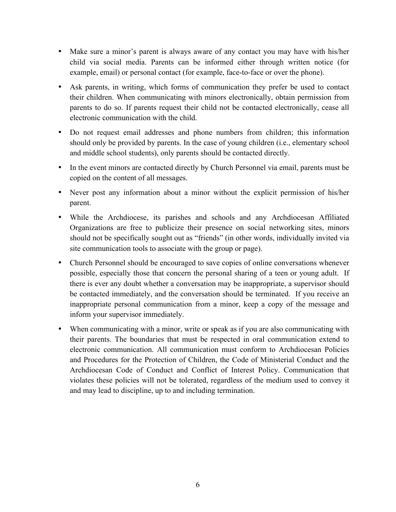- Make sure a minor's parent is always aware of any contact you may have with his/her child via social media. Parents can be informed either through written notice (for example, email) or personal contact (for example, face-to-face or over the phone).
- Ask parents, in writing, which forms of communication they prefer be used to contact their children. When communicating with minors electronically, obtain permission from parents to do so. If parents request their child not be contacted electronically, cease all electronic communication with the child.
- Do not request email addresses and phone numbers from children; this information should only be provided by parents. In the case of young children (i.e., elementary school and middle school students), only parents should be contacted directly.
- In the event minors are contacted directly by Church Personnel via email, parents must be copied on the content of all messages.
- Never post any information about a minor without the explicit permission of his/her parent.
- While the Archdiocese, its parishes and schools and any Archdiocesan Affiliated Organizations are free to publicize their presence on social networking sites, minors should not be specifically sought out as "friends" (in other words, individually invited via site communication tools to associate with the group or page).
- Church Personnel should be encouraged to save copies of online conversations whenever possible, especially those that concern the personal sharing of a teen or young adult. If there is ever any doubt whether a conversation may be inappropriate, a supervisor should be contacted immediately, and the conversation should be terminated. If you receive an inappropriate personal communication from a minor, keep a copy of the message and inform your supervisor immediately.
- When communicating with a minor, write or speak as if you are also communicating with their parents. The boundaries that must be respected in oral communication extend to electronic communication. All communication must conform to Archdiocesan Policies and Procedures for the Protection of Children, the Code of Ministerial Conduct and the Archdiocesan Code of Conduct and Conflict of Interest Policy. Communication that violates these policies will not be tolerated, regardless of the medium used to convey it and may lead to discipline, up to and including termination.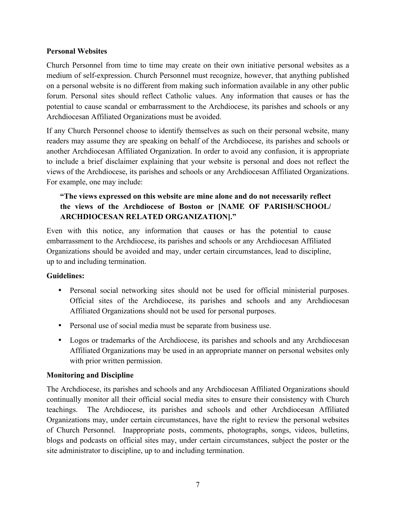#### **Personal Websites**

Church Personnel from time to time may create on their own initiative personal websites as a medium of self-expression. Church Personnel must recognize, however, that anything published on a personal website is no different from making such information available in any other public forum. Personal sites should reflect Catholic values. Any information that causes or has the potential to cause scandal or embarrassment to the Archdiocese, its parishes and schools or any Archdiocesan Affiliated Organizations must be avoided.

If any Church Personnel choose to identify themselves as such on their personal website, many readers may assume they are speaking on behalf of the Archdiocese, its parishes and schools or another Archdiocesan Affiliated Organization. In order to avoid any confusion, it is appropriate to include a brief disclaimer explaining that your website is personal and does not reflect the views of the Archdiocese, its parishes and schools or any Archdiocesan Affiliated Organizations. For example, one may include:

## **"The views expressed on this website are mine alone and do not necessarily reflect the views of the Archdiocese of Boston or [NAME OF PARISH/SCHOOL/ ARCHDIOCESAN RELATED ORGANIZATION]."**

Even with this notice, any information that causes or has the potential to cause embarrassment to the Archdiocese, its parishes and schools or any Archdiocesan Affiliated Organizations should be avoided and may, under certain circumstances, lead to discipline, up to and including termination.

## **Guidelines:**

- Personal social networking sites should not be used for official ministerial purposes. Official sites of the Archdiocese, its parishes and schools and any Archdiocesan Affiliated Organizations should not be used for personal purposes.
- Personal use of social media must be separate from business use.
- Logos or trademarks of the Archdiocese, its parishes and schools and any Archdiocesan Affiliated Organizations may be used in an appropriate manner on personal websites only with prior written permission.

## **Monitoring and Discipline**

The Archdiocese, its parishes and schools and any Archdiocesan Affiliated Organizations should continually monitor all their official social media sites to ensure their consistency with Church teachings. The Archdiocese, its parishes and schools and other Archdiocesan Affiliated Organizations may, under certain circumstances, have the right to review the personal websites of Church Personnel. Inappropriate posts, comments, photographs, songs, videos, bulletins, blogs and podcasts on official sites may, under certain circumstances, subject the poster or the site administrator to discipline, up to and including termination.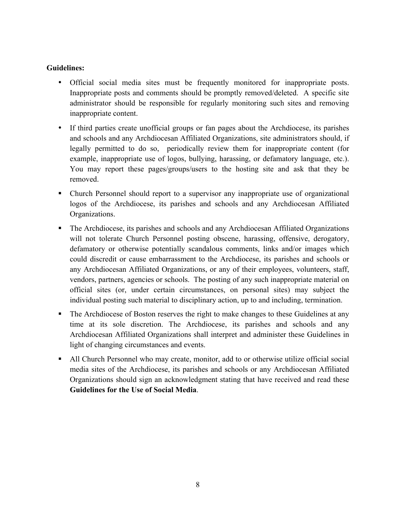## **Guidelines:**

- Official social media sites must be frequently monitored for inappropriate posts. Inappropriate posts and comments should be promptly removed/deleted. A specific site administrator should be responsible for regularly monitoring such sites and removing inappropriate content.
- If third parties create unofficial groups or fan pages about the Archdiocese, its parishes and schools and any Archdiocesan Affiliated Organizations, site administrators should, if legally permitted to do so, periodically review them for inappropriate content (for example, inappropriate use of logos, bullying, harassing, or defamatory language, etc.). You may report these pages/groups/users to the hosting site and ask that they be removed.
- Church Personnel should report to a supervisor any inappropriate use of organizational logos of the Archdiocese, its parishes and schools and any Archdiocesan Affiliated Organizations.
- The Archdiocese, its parishes and schools and any Archdiocesan Affiliated Organizations will not tolerate Church Personnel posting obscene, harassing, offensive, derogatory, defamatory or otherwise potentially scandalous comments, links and/or images which could discredit or cause embarrassment to the Archdiocese, its parishes and schools or any Archdiocesan Affiliated Organizations, or any of their employees, volunteers, staff, vendors, partners, agencies or schools. The posting of any such inappropriate material on official sites (or, under certain circumstances, on personal sites) may subject the individual posting such material to disciplinary action, up to and including, termination.
- The Archdiocese of Boston reserves the right to make changes to these Guidelines at any time at its sole discretion. The Archdiocese, its parishes and schools and any Archdiocesan Affiliated Organizations shall interpret and administer these Guidelines in light of changing circumstances and events.
- § All Church Personnel who may create, monitor, add to or otherwise utilize official social media sites of the Archdiocese, its parishes and schools or any Archdiocesan Affiliated Organizations should sign an acknowledgment stating that have received and read these **Guidelines for the Use of Social Media**.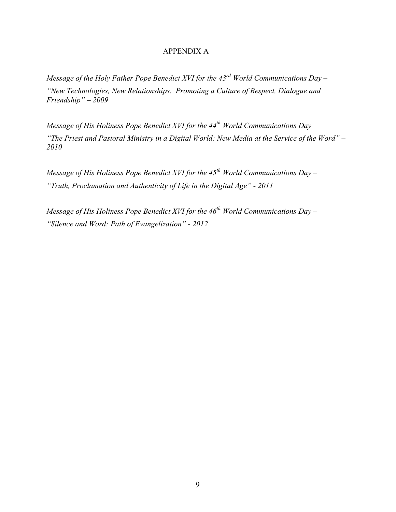#### APPENDIX A

*Message of the Holy Father Pope Benedict XVI for the 43rd World Communications Day – "New Technologies, New Relationships. Promoting a Culture of Respect, Dialogue and Friendship" – 2009*

*Message of His Holiness Pope Benedict XVI for the 44th World Communications Day – "The Priest and Pastoral Ministry in a Digital World: New Media at the Service of the Word" – 2010*

*Message of His Holiness Pope Benedict XVI for the 45th World Communications Day – "Truth, Proclamation and Authenticity of Life in the Digital Age" - 2011*

*Message of His Holiness Pope Benedict XVI for the 46th World Communications Day – "Silence and Word: Path of Evangelization" - 2012*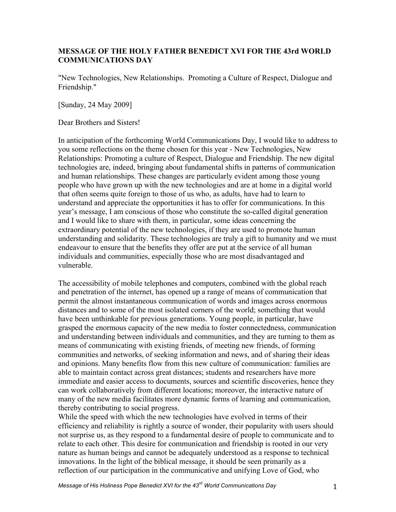## **MESSAGE OF THE HOLY FATHER BENEDICT XVI FOR THE 43rd WORLD COMMUNICATIONS DAY**

"New Technologies, New Relationships. Promoting a Culture of Respect, Dialogue and Friendship."

[Sunday, 24 May 2009]

Dear Brothers and Sisters!

In anticipation of the forthcoming World Communications Day, I would like to address to you some reflections on the theme chosen for this year - New Technologies, New Relationships: Promoting a culture of Respect, Dialogue and Friendship. The new digital technologies are, indeed, bringing about fundamental shifts in patterns of communication and human relationships. These changes are particularly evident among those young people who have grown up with the new technologies and are at home in a digital world that often seems quite foreign to those of us who, as adults, have had to learn to understand and appreciate the opportunities it has to offer for communications. In this year's message, I am conscious of those who constitute the so-called digital generation and I would like to share with them, in particular, some ideas concerning the extraordinary potential of the new technologies, if they are used to promote human understanding and solidarity. These technologies are truly a gift to humanity and we must endeavour to ensure that the benefits they offer are put at the service of all human individuals and communities, especially those who are most disadvantaged and vulnerable.

The accessibility of mobile telephones and computers, combined with the global reach and penetration of the internet, has opened up a range of means of communication that permit the almost instantaneous communication of words and images across enormous distances and to some of the most isolated corners of the world; something that would have been unthinkable for previous generations. Young people, in particular, have grasped the enormous capacity of the new media to foster connectedness, communication and understanding between individuals and communities, and they are turning to them as means of communicating with existing friends, of meeting new friends, of forming communities and networks, of seeking information and news, and of sharing their ideas and opinions. Many benefits flow from this new culture of communication: families are able to maintain contact across great distances; students and researchers have more immediate and easier access to documents, sources and scientific discoveries, hence they can work collaboratively from different locations; moreover, the interactive nature of many of the new media facilitates more dynamic forms of learning and communication, thereby contributing to social progress.

While the speed with which the new technologies have evolved in terms of their efficiency and reliability is rightly a source of wonder, their popularity with users should not surprise us, as they respond to a fundamental desire of people to communicate and to relate to each other. This desire for communication and friendship is rooted in our very nature as human beings and cannot be adequately understood as a response to technical innovations. In the light of the biblical message, it should be seen primarily as a reflection of our participation in the communicative and unifying Love of God, who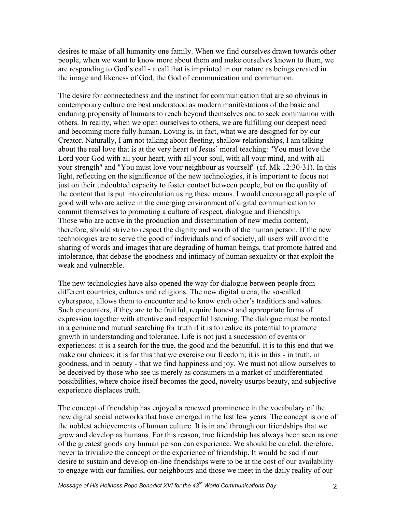desires to make of all humanity one family. When we find ourselves drawn towards other people, when we want to know more about them and make ourselves known to them, we are responding to God's call - a call that is imprinted in our nature as beings created in the image and likeness of God, the God of communication and communion.

The desire for connectedness and the instinct for communication that are so obvious in contemporary culture are best understood as modern manifestations of the basic and enduring propensity of humans to reach beyond themselves and to seek communion with others. In reality, when we open ourselves to others, we are fulfilling our deepest need and becoming more fully human. Loving is, in fact, what we are designed for by our Creator. Naturally, I am not talking about fleeting, shallow relationships, I am talking about the real love that is at the very heart of Jesus' moral teaching: "You must love the Lord your God with all your heart, with all your soul, with all your mind, and with all your strength" and "You must love your neighbour as yourself" (cf. Mk 12:30-31). In this light, reflecting on the significance of the new technologies, it is important to focus not just on their undoubted capacity to foster contact between people, but on the quality of the content that is put into circulation using these means. I would encourage all people of good will who are active in the emerging environment of digital communication to commit themselves to promoting a culture of respect, dialogue and friendship. Those who are active in the production and dissemination of new media content, therefore, should strive to respect the dignity and worth of the human person. If the new technologies are to serve the good of individuals and of society, all users will avoid the sharing of words and images that are degrading of human beings, that promote hatred and intolerance, that debase the goodness and intimacy of human sexuality or that exploit the weak and vulnerable.

The new technologies have also opened the way for dialogue between people from different countries, cultures and religions. The new digital arena, the so-called cyberspace, allows them to encounter and to know each other's traditions and values. Such encounters, if they are to be fruitful, require honest and appropriate forms of expression together with attentive and respectful listening. The dialogue must be rooted in a genuine and mutual searching for truth if it is to realize its potential to promote growth in understanding and tolerance. Life is not just a succession of events or experiences: it is a search for the true, the good and the beautiful. It is to this end that we make our choices; it is for this that we exercise our freedom; it is in this - in truth, in goodness, and in beauty - that we find happiness and joy. We must not allow ourselves to be deceived by those who see us merely as consumers in a market of undifferentiated possibilities, where choice itself becomes the good, novelty usurps beauty, and subjective experience displaces truth.

The concept of friendship has enjoyed a renewed prominence in the vocabulary of the new digital social networks that have emerged in the last few years. The concept is one of the noblest achievements of human culture. It is in and through our friendships that we grow and develop as humans. For this reason, true friendship has always been seen as one of the greatest goods any human person can experience. We should be careful, therefore, never to trivialize the concept or the experience of friendship. It would be sad if our desire to sustain and develop on-line friendships were to be at the cost of our availability to engage with our families, our neighbours and those we meet in the daily reality of our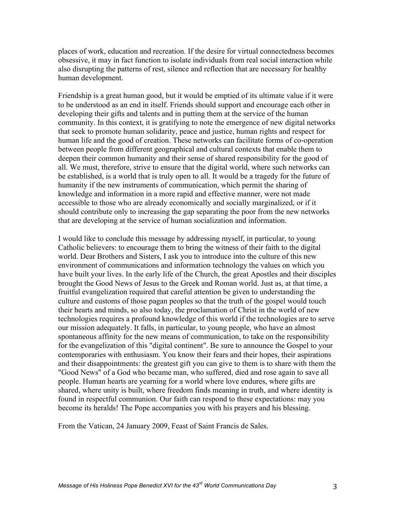places of work, education and recreation. If the desire for virtual connectedness becomes obsessive, it may in fact function to isolate individuals from real social interaction while also disrupting the patterns of rest, silence and reflection that are necessary for healthy human development.

Friendship is a great human good, but it would be emptied of its ultimate value if it were to be understood as an end in itself. Friends should support and encourage each other in developing their gifts and talents and in putting them at the service of the human community. In this context, it is gratifying to note the emergence of new digital networks that seek to promote human solidarity, peace and justice, human rights and respect for human life and the good of creation. These networks can facilitate forms of co-operation between people from different geographical and cultural contexts that enable them to deepen their common humanity and their sense of shared responsibility for the good of all. We must, therefore, strive to ensure that the digital world, where such networks can be established, is a world that is truly open to all. It would be a tragedy for the future of humanity if the new instruments of communication, which permit the sharing of knowledge and information in a more rapid and effective manner, were not made accessible to those who are already economically and socially marginalized, or if it should contribute only to increasing the gap separating the poor from the new networks that are developing at the service of human socialization and information.

I would like to conclude this message by addressing myself, in particular, to young Catholic believers: to encourage them to bring the witness of their faith to the digital world. Dear Brothers and Sisters, I ask you to introduce into the culture of this new environment of communications and information technology the values on which you have built your lives. In the early life of the Church, the great Apostles and their disciples brought the Good News of Jesus to the Greek and Roman world. Just as, at that time, a fruitful evangelization required that careful attention be given to understanding the culture and customs of those pagan peoples so that the truth of the gospel would touch their hearts and minds, so also today, the proclamation of Christ in the world of new technologies requires a profound knowledge of this world if the technologies are to serve our mission adequately. It falls, in particular, to young people, who have an almost spontaneous affinity for the new means of communication, to take on the responsibility for the evangelization of this "digital continent". Be sure to announce the Gospel to your contemporaries with enthusiasm. You know their fears and their hopes, their aspirations and their disappointments: the greatest gift you can give to them is to share with them the "Good News" of a God who became man, who suffered, died and rose again to save all people. Human hearts are yearning for a world where love endures, where gifts are shared, where unity is built, where freedom finds meaning in truth, and where identity is found in respectful communion. Our faith can respond to these expectations: may you become its heralds! The Pope accompanies you with his prayers and his blessing.

From the Vatican, 24 January 2009, Feast of Saint Francis de Sales.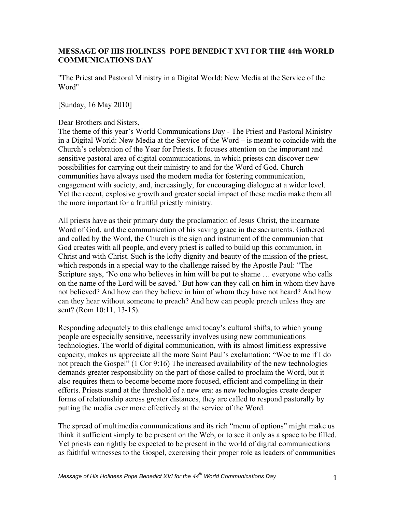### **MESSAGE OF HIS HOLINESS POPE BENEDICT XVI FOR THE 44th WORLD COMMUNICATIONS DAY**

"The Priest and Pastoral Ministry in a Digital World: New Media at the Service of the Word"

[Sunday, 16 May 2010]

#### Dear Brothers and Sisters,

The theme of this year's World Communications Day - The Priest and Pastoral Ministry in a Digital World: New Media at the Service of the Word – is meant to coincide with the Church's celebration of the Year for Priests. It focuses attention on the important and sensitive pastoral area of digital communications, in which priests can discover new possibilities for carrying out their ministry to and for the Word of God. Church communities have always used the modern media for fostering communication, engagement with society, and, increasingly, for encouraging dialogue at a wider level. Yet the recent, explosive growth and greater social impact of these media make them all the more important for a fruitful priestly ministry.

All priests have as their primary duty the proclamation of Jesus Christ, the incarnate Word of God, and the communication of his saving grace in the sacraments. Gathered and called by the Word, the Church is the sign and instrument of the communion that God creates with all people, and every priest is called to build up this communion, in Christ and with Christ. Such is the lofty dignity and beauty of the mission of the priest, which responds in a special way to the challenge raised by the Apostle Paul: "The Scripture says, 'No one who believes in him will be put to shame … everyone who calls on the name of the Lord will be saved.' But how can they call on him in whom they have not believed? And how can they believe in him of whom they have not heard? And how can they hear without someone to preach? And how can people preach unless they are sent? (Rom 10:11, 13-15).

Responding adequately to this challenge amid today's cultural shifts, to which young people are especially sensitive, necessarily involves using new communications technologies. The world of digital communication, with its almost limitless expressive capacity, makes us appreciate all the more Saint Paul's exclamation: "Woe to me if I do not preach the Gospel" (1 Cor 9:16) The increased availability of the new technologies demands greater responsibility on the part of those called to proclaim the Word, but it also requires them to become become more focused, efficient and compelling in their efforts. Priests stand at the threshold of a new era: as new technologies create deeper forms of relationship across greater distances, they are called to respond pastorally by putting the media ever more effectively at the service of the Word.

The spread of multimedia communications and its rich "menu of options" might make us think it sufficient simply to be present on the Web, or to see it only as a space to be filled. Yet priests can rightly be expected to be present in the world of digital communications as faithful witnesses to the Gospel, exercising their proper role as leaders of communities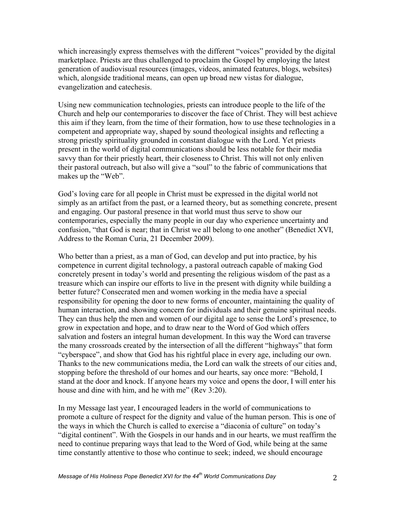which increasingly express themselves with the different "voices" provided by the digital marketplace. Priests are thus challenged to proclaim the Gospel by employing the latest generation of audiovisual resources (images, videos, animated features, blogs, websites) which, alongside traditional means, can open up broad new vistas for dialogue, evangelization and catechesis.

Using new communication technologies, priests can introduce people to the life of the Church and help our contemporaries to discover the face of Christ. They will best achieve this aim if they learn, from the time of their formation, how to use these technologies in a competent and appropriate way, shaped by sound theological insights and reflecting a strong priestly spirituality grounded in constant dialogue with the Lord. Yet priests present in the world of digital communications should be less notable for their media savvy than for their priestly heart, their closeness to Christ. This will not only enliven their pastoral outreach, but also will give a "soul" to the fabric of communications that makes up the "Web".

God's loving care for all people in Christ must be expressed in the digital world not simply as an artifact from the past, or a learned theory, but as something concrete, present and engaging. Our pastoral presence in that world must thus serve to show our contemporaries, especially the many people in our day who experience uncertainty and confusion, "that God is near; that in Christ we all belong to one another" (Benedict XVI, Address to the Roman Curia, 21 December 2009).

Who better than a priest, as a man of God, can develop and put into practice, by his competence in current digital technology, a pastoral outreach capable of making God concretely present in today's world and presenting the religious wisdom of the past as a treasure which can inspire our efforts to live in the present with dignity while building a better future? Consecrated men and women working in the media have a special responsibility for opening the door to new forms of encounter, maintaining the quality of human interaction, and showing concern for individuals and their genuine spiritual needs. They can thus help the men and women of our digital age to sense the Lord's presence, to grow in expectation and hope, and to draw near to the Word of God which offers salvation and fosters an integral human development. In this way the Word can traverse the many crossroads created by the intersection of all the different "highways" that form "cyberspace", and show that God has his rightful place in every age, including our own. Thanks to the new communications media, the Lord can walk the streets of our cities and, stopping before the threshold of our homes and our hearts, say once more: "Behold, I stand at the door and knock. If anyone hears my voice and opens the door, I will enter his house and dine with him, and he with me" (Rev 3:20).

In my Message last year, I encouraged leaders in the world of communications to promote a culture of respect for the dignity and value of the human person. This is one of the ways in which the Church is called to exercise a "diaconia of culture" on today's "digital continent". With the Gospels in our hands and in our hearts, we must reaffirm the need to continue preparing ways that lead to the Word of God, while being at the same time constantly attentive to those who continue to seek; indeed, we should encourage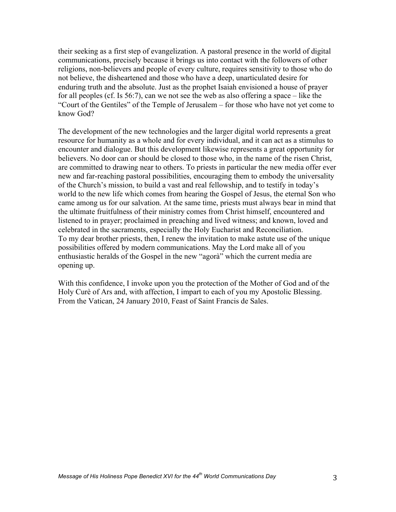their seeking as a first step of evangelization. A pastoral presence in the world of digital communications, precisely because it brings us into contact with the followers of other religions, non-believers and people of every culture, requires sensitivity to those who do not believe, the disheartened and those who have a deep, unarticulated desire for enduring truth and the absolute. Just as the prophet Isaiah envisioned a house of prayer for all peoples (cf. Is 56:7), can we not see the web as also offering a space – like the "Court of the Gentiles" of the Temple of Jerusalem – for those who have not yet come to know God?

The development of the new technologies and the larger digital world represents a great resource for humanity as a whole and for every individual, and it can act as a stimulus to encounter and dialogue. But this development likewise represents a great opportunity for believers. No door can or should be closed to those who, in the name of the risen Christ, are committed to drawing near to others. To priests in particular the new media offer ever new and far-reaching pastoral possibilities, encouraging them to embody the universality of the Church's mission, to build a vast and real fellowship, and to testify in today's world to the new life which comes from hearing the Gospel of Jesus, the eternal Son who came among us for our salvation. At the same time, priests must always bear in mind that the ultimate fruitfulness of their ministry comes from Christ himself, encountered and listened to in prayer; proclaimed in preaching and lived witness; and known, loved and celebrated in the sacraments, especially the Holy Eucharist and Reconciliation. To my dear brother priests, then, I renew the invitation to make astute use of the unique possibilities offered by modern communications. May the Lord make all of you enthusiastic heralds of the Gospel in the new "agorà" which the current media are opening up.

With this confidence, I invoke upon you the protection of the Mother of God and of the Holy Curè of Ars and, with affection, I impart to each of you my Apostolic Blessing. From the Vatican, 24 January 2010, Feast of Saint Francis de Sales.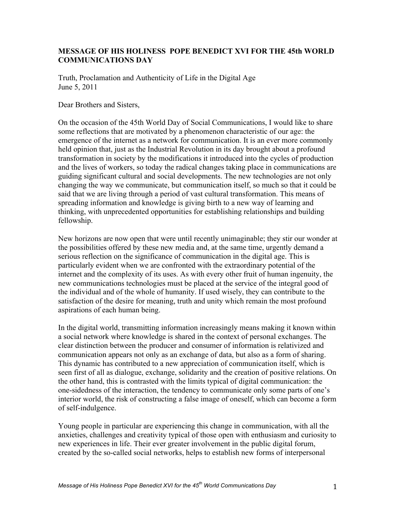## **MESSAGE OF HIS HOLINESS POPE BENEDICT XVI FOR THE 45th WORLD COMMUNICATIONS DAY**

Truth, Proclamation and Authenticity of Life in the Digital Age June 5, 2011

#### Dear Brothers and Sisters,

On the occasion of the 45th World Day of Social Communications, I would like to share some reflections that are motivated by a phenomenon characteristic of our age: the emergence of the internet as a network for communication. It is an ever more commonly held opinion that, just as the Industrial Revolution in its day brought about a profound transformation in society by the modifications it introduced into the cycles of production and the lives of workers, so today the radical changes taking place in communications are guiding significant cultural and social developments. The new technologies are not only changing the way we communicate, but communication itself, so much so that it could be said that we are living through a period of vast cultural transformation. This means of spreading information and knowledge is giving birth to a new way of learning and thinking, with unprecedented opportunities for establishing relationships and building fellowship.

New horizons are now open that were until recently unimaginable; they stir our wonder at the possibilities offered by these new media and, at the same time, urgently demand a serious reflection on the significance of communication in the digital age. This is particularly evident when we are confronted with the extraordinary potential of the internet and the complexity of its uses. As with every other fruit of human ingenuity, the new communications technologies must be placed at the service of the integral good of the individual and of the whole of humanity. If used wisely, they can contribute to the satisfaction of the desire for meaning, truth and unity which remain the most profound aspirations of each human being.

In the digital world, transmitting information increasingly means making it known within a social network where knowledge is shared in the context of personal exchanges. The clear distinction between the producer and consumer of information is relativized and communication appears not only as an exchange of data, but also as a form of sharing. This dynamic has contributed to a new appreciation of communication itself, which is seen first of all as dialogue, exchange, solidarity and the creation of positive relations. On the other hand, this is contrasted with the limits typical of digital communication: the one-sidedness of the interaction, the tendency to communicate only some parts of one's interior world, the risk of constructing a false image of oneself, which can become a form of self-indulgence.

Young people in particular are experiencing this change in communication, with all the anxieties, challenges and creativity typical of those open with enthusiasm and curiosity to new experiences in life. Their ever greater involvement in the public digital forum, created by the so-called social networks, helps to establish new forms of interpersonal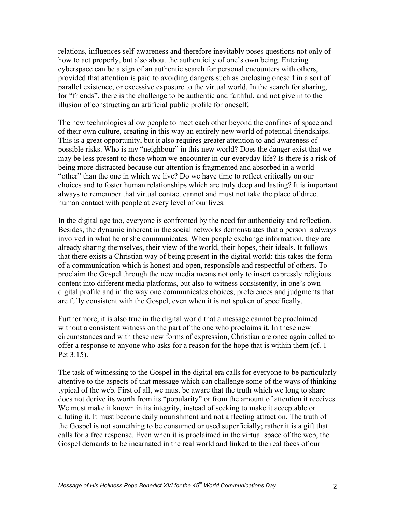relations, influences self-awareness and therefore inevitably poses questions not only of how to act properly, but also about the authenticity of one's own being. Entering cyberspace can be a sign of an authentic search for personal encounters with others, provided that attention is paid to avoiding dangers such as enclosing oneself in a sort of parallel existence, or excessive exposure to the virtual world. In the search for sharing, for "friends", there is the challenge to be authentic and faithful, and not give in to the illusion of constructing an artificial public profile for oneself.

The new technologies allow people to meet each other beyond the confines of space and of their own culture, creating in this way an entirely new world of potential friendships. This is a great opportunity, but it also requires greater attention to and awareness of possible risks. Who is my "neighbour" in this new world? Does the danger exist that we may be less present to those whom we encounter in our everyday life? Is there is a risk of being more distracted because our attention is fragmented and absorbed in a world "other" than the one in which we live? Do we have time to reflect critically on our choices and to foster human relationships which are truly deep and lasting? It is important always to remember that virtual contact cannot and must not take the place of direct human contact with people at every level of our lives.

In the digital age too, everyone is confronted by the need for authenticity and reflection. Besides, the dynamic inherent in the social networks demonstrates that a person is always involved in what he or she communicates. When people exchange information, they are already sharing themselves, their view of the world, their hopes, their ideals. It follows that there exists a Christian way of being present in the digital world: this takes the form of a communication which is honest and open, responsible and respectful of others. To proclaim the Gospel through the new media means not only to insert expressly religious content into different media platforms, but also to witness consistently, in one's own digital profile and in the way one communicates choices, preferences and judgments that are fully consistent with the Gospel, even when it is not spoken of specifically.

Furthermore, it is also true in the digital world that a message cannot be proclaimed without a consistent witness on the part of the one who proclaims it. In these new circumstances and with these new forms of expression, Christian are once again called to offer a response to anyone who asks for a reason for the hope that is within them (cf. 1 Pet 3:15).

The task of witnessing to the Gospel in the digital era calls for everyone to be particularly attentive to the aspects of that message which can challenge some of the ways of thinking typical of the web. First of all, we must be aware that the truth which we long to share does not derive its worth from its "popularity" or from the amount of attention it receives. We must make it known in its integrity, instead of seeking to make it acceptable or diluting it. It must become daily nourishment and not a fleeting attraction. The truth of the Gospel is not something to be consumed or used superficially; rather it is a gift that calls for a free response. Even when it is proclaimed in the virtual space of the web, the Gospel demands to be incarnated in the real world and linked to the real faces of our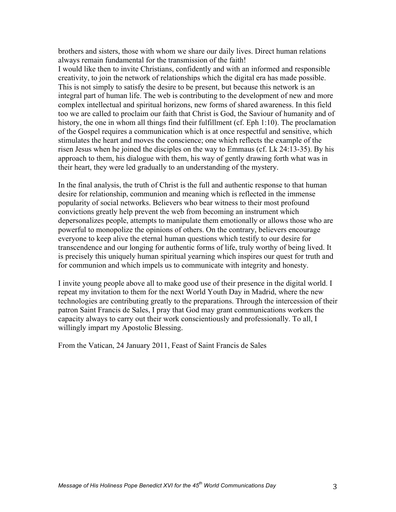brothers and sisters, those with whom we share our daily lives. Direct human relations always remain fundamental for the transmission of the faith!

I would like then to invite Christians, confidently and with an informed and responsible creativity, to join the network of relationships which the digital era has made possible. This is not simply to satisfy the desire to be present, but because this network is an integral part of human life. The web is contributing to the development of new and more complex intellectual and spiritual horizons, new forms of shared awareness. In this field too we are called to proclaim our faith that Christ is God, the Saviour of humanity and of history, the one in whom all things find their fulfillment (cf. Eph 1:10). The proclamation of the Gospel requires a communication which is at once respectful and sensitive, which stimulates the heart and moves the conscience; one which reflects the example of the risen Jesus when he joined the disciples on the way to Emmaus (cf. Lk 24:13-35). By his approach to them, his dialogue with them, his way of gently drawing forth what was in their heart, they were led gradually to an understanding of the mystery.

In the final analysis, the truth of Christ is the full and authentic response to that human desire for relationship, communion and meaning which is reflected in the immense popularity of social networks. Believers who bear witness to their most profound convictions greatly help prevent the web from becoming an instrument which depersonalizes people, attempts to manipulate them emotionally or allows those who are powerful to monopolize the opinions of others. On the contrary, believers encourage everyone to keep alive the eternal human questions which testify to our desire for transcendence and our longing for authentic forms of life, truly worthy of being lived. It is precisely this uniquely human spiritual yearning which inspires our quest for truth and for communion and which impels us to communicate with integrity and honesty.

I invite young people above all to make good use of their presence in the digital world. I repeat my invitation to them for the next World Youth Day in Madrid, where the new technologies are contributing greatly to the preparations. Through the intercession of their patron Saint Francis de Sales, I pray that God may grant communications workers the capacity always to carry out their work conscientiously and professionally. To all, I willingly impart my Apostolic Blessing.

From the Vatican, 24 January 2011, Feast of Saint Francis de Sales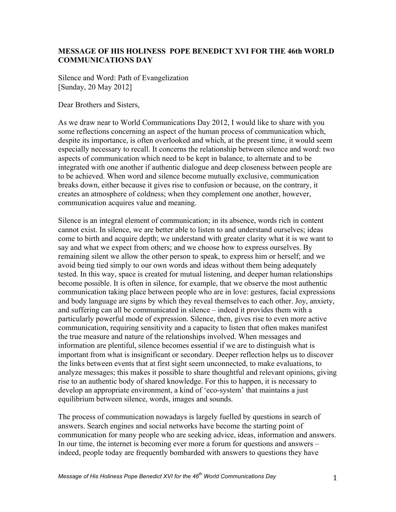#### **MESSAGE OF HIS HOLINESS POPE BENEDICT XVI FOR THE 46th WORLD COMMUNICATIONS DAY**

Silence and Word: Path of Evangelization [Sunday, 20 May 2012]

Dear Brothers and Sisters,

As we draw near to World Communications Day 2012, I would like to share with you some reflections concerning an aspect of the human process of communication which, despite its importance, is often overlooked and which, at the present time, it would seem especially necessary to recall. It concerns the relationship between silence and word: two aspects of communication which need to be kept in balance, to alternate and to be integrated with one another if authentic dialogue and deep closeness between people are to be achieved. When word and silence become mutually exclusive, communication breaks down, either because it gives rise to confusion or because, on the contrary, it creates an atmosphere of coldness; when they complement one another, however, communication acquires value and meaning.

Silence is an integral element of communication; in its absence, words rich in content cannot exist. In silence, we are better able to listen to and understand ourselves; ideas come to birth and acquire depth; we understand with greater clarity what it is we want to say and what we expect from others; and we choose how to express ourselves. By remaining silent we allow the other person to speak, to express him or herself; and we avoid being tied simply to our own words and ideas without them being adequately tested. In this way, space is created for mutual listening, and deeper human relationships become possible. It is often in silence, for example, that we observe the most authentic communication taking place between people who are in love: gestures, facial expressions and body language are signs by which they reveal themselves to each other. Joy, anxiety, and suffering can all be communicated in silence – indeed it provides them with a particularly powerful mode of expression. Silence, then, gives rise to even more active communication, requiring sensitivity and a capacity to listen that often makes manifest the true measure and nature of the relationships involved. When messages and information are plentiful, silence becomes essential if we are to distinguish what is important from what is insignificant or secondary. Deeper reflection helps us to discover the links between events that at first sight seem unconnected, to make evaluations, to analyze messages; this makes it possible to share thoughtful and relevant opinions, giving rise to an authentic body of shared knowledge. For this to happen, it is necessary to develop an appropriate environment, a kind of 'eco-system' that maintains a just equilibrium between silence, words, images and sounds.

The process of communication nowadays is largely fuelled by questions in search of answers. Search engines and social networks have become the starting point of communication for many people who are seeking advice, ideas, information and answers. In our time, the internet is becoming ever more a forum for questions and answers – indeed, people today are frequently bombarded with answers to questions they have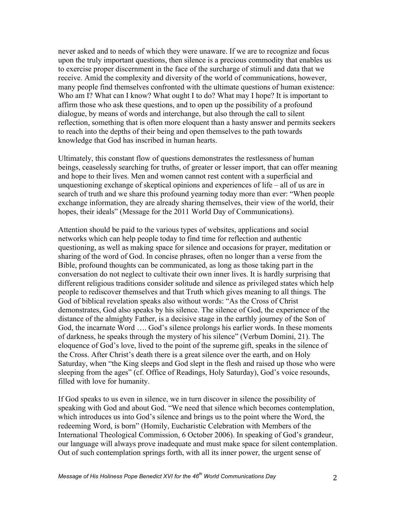never asked and to needs of which they were unaware. If we are to recognize and focus upon the truly important questions, then silence is a precious commodity that enables us to exercise proper discernment in the face of the surcharge of stimuli and data that we receive. Amid the complexity and diversity of the world of communications, however, many people find themselves confronted with the ultimate questions of human existence: Who am I? What can I know? What ought I to do? What may I hope? It is important to affirm those who ask these questions, and to open up the possibility of a profound dialogue, by means of words and interchange, but also through the call to silent reflection, something that is often more eloquent than a hasty answer and permits seekers to reach into the depths of their being and open themselves to the path towards knowledge that God has inscribed in human hearts.

Ultimately, this constant flow of questions demonstrates the restlessness of human beings, ceaselessly searching for truths, of greater or lesser import, that can offer meaning and hope to their lives. Men and women cannot rest content with a superficial and unquestioning exchange of skeptical opinions and experiences of life – all of us are in search of truth and we share this profound yearning today more than ever: "When people exchange information, they are already sharing themselves, their view of the world, their hopes, their ideals" (Message for the 2011 World Day of Communications).

Attention should be paid to the various types of websites, applications and social networks which can help people today to find time for reflection and authentic questioning, as well as making space for silence and occasions for prayer, meditation or sharing of the word of God. In concise phrases, often no longer than a verse from the Bible, profound thoughts can be communicated, as long as those taking part in the conversation do not neglect to cultivate their own inner lives. It is hardly surprising that different religious traditions consider solitude and silence as privileged states which help people to rediscover themselves and that Truth which gives meaning to all things. The God of biblical revelation speaks also without words: "As the Cross of Christ demonstrates, God also speaks by his silence. The silence of God, the experience of the distance of the almighty Father, is a decisive stage in the earthly journey of the Son of God, the incarnate Word …. God's silence prolongs his earlier words. In these moments of darkness, he speaks through the mystery of his silence" (Verbum Domini, 21). The eloquence of God's love, lived to the point of the supreme gift, speaks in the silence of the Cross. After Christ's death there is a great silence over the earth, and on Holy Saturday, when "the King sleeps and God slept in the flesh and raised up those who were sleeping from the ages" (cf. Office of Readings, Holy Saturday), God's voice resounds, filled with love for humanity.

If God speaks to us even in silence, we in turn discover in silence the possibility of speaking with God and about God. "We need that silence which becomes contemplation, which introduces us into God's silence and brings us to the point where the Word, the redeeming Word, is born" (Homily, Eucharistic Celebration with Members of the International Theological Commission, 6 October 2006). In speaking of God's grandeur, our language will always prove inadequate and must make space for silent contemplation. Out of such contemplation springs forth, with all its inner power, the urgent sense of